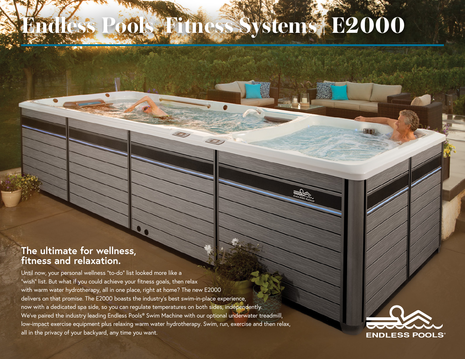## **Endless Pools® Fitness Systems | E2000**

## **The ultimate for wellness, fitness and relaxation.**

Until now, your personal wellness "to-do" list looked more like a "wish" list. But what if you could achieve your fitness goals, then relax with warm water hydrotherapy, all in one place, right at home? The new E2000 delivers on that promise. The E2000 boasts the industry's best swim-in-place experience, now with a dedicated spa side, so you can regulate temperatures on both sides, independently. We've paired the industry leading Endless Pools® Swim Machine with our optional underwater treadmill, low-impact exercise equipment plus relaxing warm water hydrotherapy. Swim, run, exercise and then relax, all in the privacy of your backyard, any time you want.